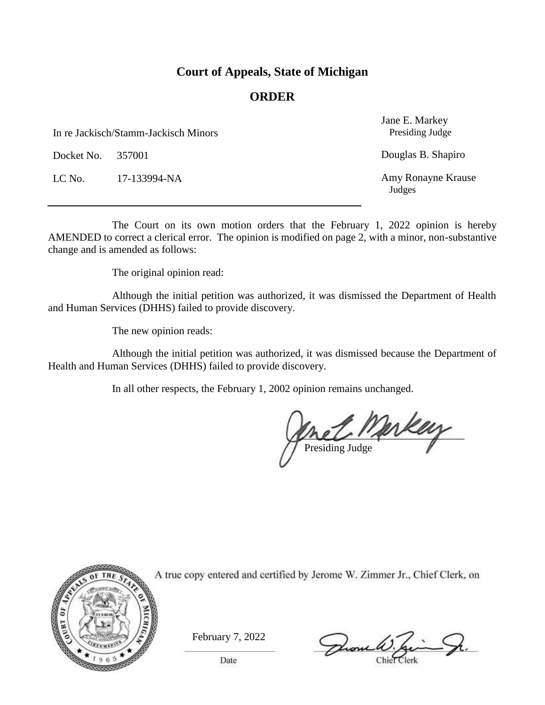### **Court of Appeals, State of Michigan**

### **ORDER**

In re Jackisch/Stamm-Jackisch Minors

Docket No. 357001

LC No. 17-133994-NA

Jane E. Markey Presiding Judge

Douglas B. Shapiro

Amy Ronayne Krause Judges

The Court on its own motion orders that the February 1, 2022 opinion is hereby AMENDED to correct a clerical error. The opinion is modified on page 2, with a minor, non-substantive change and is amended as follows:

The original opinion read:

Although the initial petition was authorized, it was dismissed the Department of Health and Human Services (DHHS) failed to provide discovery.

The new opinion reads:

Although the initial petition was authorized, it was dismissed because the Department of Health and Human Services (DHHS) failed to provide discovery.

In all other respects, the February 1, 2002 opinion remains unchanged.

 $L_{\text{N}}$ Presiding Judge



February 7, 2022

Drome W.

Date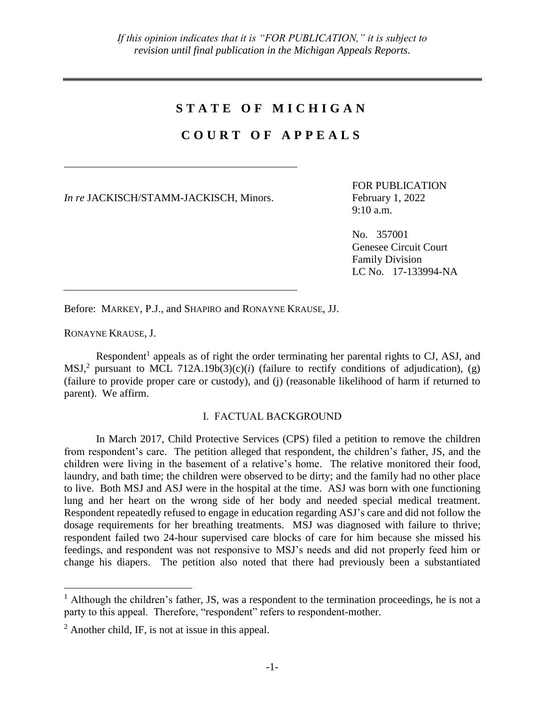# **S T A T E O F M I C H I G A N**

# **C O U R T O F A P P E A L S**

*In re* JACKISCH/STAMM-JACKISCH, Minors. February 1, 2022

FOR PUBLICATION 9:10 a.m.

No. 357001 Genesee Circuit Court Family Division LC No. 17-133994-NA

Before: MARKEY, P.J., and SHAPIRO and RONAYNE KRAUSE, JJ.

RONAYNE KRAUSE, J.

 $\overline{a}$ 

Respondent<sup>1</sup> appeals as of right the order terminating her parental rights to CJ, ASJ, and MSJ,<sup>2</sup> pursuant to MCL 712A.19b(3)(c)(*i*) (failure to rectify conditions of adjudication), (g) (failure to provide proper care or custody), and (j) (reasonable likelihood of harm if returned to parent). We affirm.

#### I. FACTUAL BACKGROUND

In March 2017, Child Protective Services (CPS) filed a petition to remove the children from respondent's care. The petition alleged that respondent, the children's father, JS, and the children were living in the basement of a relative's home. The relative monitored their food, laundry, and bath time; the children were observed to be dirty; and the family had no other place to live. Both MSJ and ASJ were in the hospital at the time. ASJ was born with one functioning lung and her heart on the wrong side of her body and needed special medical treatment. Respondent repeatedly refused to engage in education regarding ASJ's care and did not follow the dosage requirements for her breathing treatments. MSJ was diagnosed with failure to thrive; respondent failed two 24-hour supervised care blocks of care for him because she missed his feedings, and respondent was not responsive to MSJ's needs and did not properly feed him or change his diapers. The petition also noted that there had previously been a substantiated

<sup>&</sup>lt;sup>1</sup> Although the children's father, JS, was a respondent to the termination proceedings, he is not a party to this appeal. Therefore, "respondent" refers to respondent-mother.

 $<sup>2</sup>$  Another child, IF, is not at issue in this appeal.</sup>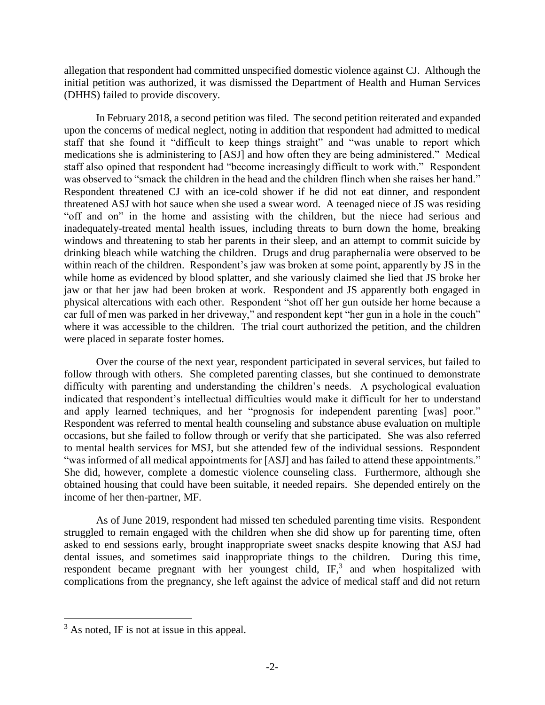allegation that respondent had committed unspecified domestic violence against CJ. Although the initial petition was authorized, it was dismissed the Department of Health and Human Services (DHHS) failed to provide discovery.

In February 2018, a second petition was filed. The second petition reiterated and expanded upon the concerns of medical neglect, noting in addition that respondent had admitted to medical staff that she found it "difficult to keep things straight" and "was unable to report which medications she is administering to [ASJ] and how often they are being administered." Medical staff also opined that respondent had "become increasingly difficult to work with." Respondent was observed to "smack the children in the head and the children flinch when she raises her hand." Respondent threatened CJ with an ice-cold shower if he did not eat dinner, and respondent threatened ASJ with hot sauce when she used a swear word. A teenaged niece of JS was residing "off and on" in the home and assisting with the children, but the niece had serious and inadequately-treated mental health issues, including threats to burn down the home, breaking windows and threatening to stab her parents in their sleep, and an attempt to commit suicide by drinking bleach while watching the children. Drugs and drug paraphernalia were observed to be within reach of the children. Respondent's jaw was broken at some point, apparently by JS in the while home as evidenced by blood splatter, and she variously claimed she lied that JS broke her jaw or that her jaw had been broken at work. Respondent and JS apparently both engaged in physical altercations with each other. Respondent "shot off her gun outside her home because a car full of men was parked in her driveway," and respondent kept "her gun in a hole in the couch" where it was accessible to the children. The trial court authorized the petition, and the children were placed in separate foster homes.

Over the course of the next year, respondent participated in several services, but failed to follow through with others. She completed parenting classes, but she continued to demonstrate difficulty with parenting and understanding the children's needs. A psychological evaluation indicated that respondent's intellectual difficulties would make it difficult for her to understand and apply learned techniques, and her "prognosis for independent parenting [was] poor." Respondent was referred to mental health counseling and substance abuse evaluation on multiple occasions, but she failed to follow through or verify that she participated. She was also referred to mental health services for MSJ, but she attended few of the individual sessions. Respondent "was informed of all medical appointments for [ASJ] and has failed to attend these appointments." She did, however, complete a domestic violence counseling class. Furthermore, although she obtained housing that could have been suitable, it needed repairs. She depended entirely on the income of her then-partner, MF.

As of June 2019, respondent had missed ten scheduled parenting time visits. Respondent struggled to remain engaged with the children when she did show up for parenting time, often asked to end sessions early, brought inappropriate sweet snacks despite knowing that ASJ had dental issues, and sometimes said inappropriate things to the children. During this time, respondent became pregnant with her youngest child,  $IF<sub>1</sub><sup>3</sup>$  and when hospitalized with complications from the pregnancy, she left against the advice of medical staff and did not return

 $\overline{a}$ 

 $3$  As noted, IF is not at issue in this appeal.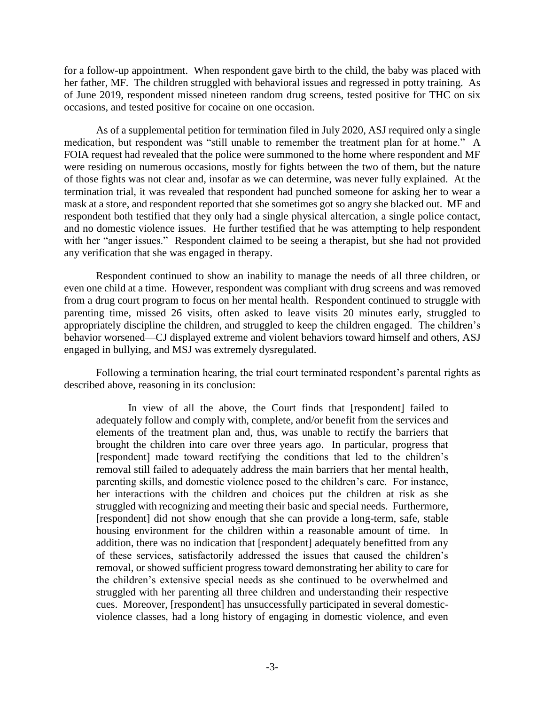for a follow-up appointment. When respondent gave birth to the child, the baby was placed with her father, MF. The children struggled with behavioral issues and regressed in potty training. As of June 2019, respondent missed nineteen random drug screens, tested positive for THC on six occasions, and tested positive for cocaine on one occasion.

As of a supplemental petition for termination filed in July 2020, ASJ required only a single medication, but respondent was "still unable to remember the treatment plan for at home." A FOIA request had revealed that the police were summoned to the home where respondent and MF were residing on numerous occasions, mostly for fights between the two of them, but the nature of those fights was not clear and, insofar as we can determine, was never fully explained. At the termination trial, it was revealed that respondent had punched someone for asking her to wear a mask at a store, and respondent reported that she sometimes got so angry she blacked out. MF and respondent both testified that they only had a single physical altercation, a single police contact, and no domestic violence issues. He further testified that he was attempting to help respondent with her "anger issues." Respondent claimed to be seeing a therapist, but she had not provided any verification that she was engaged in therapy.

Respondent continued to show an inability to manage the needs of all three children, or even one child at a time. However, respondent was compliant with drug screens and was removed from a drug court program to focus on her mental health. Respondent continued to struggle with parenting time, missed 26 visits, often asked to leave visits 20 minutes early, struggled to appropriately discipline the children, and struggled to keep the children engaged. The children's behavior worsened—CJ displayed extreme and violent behaviors toward himself and others, ASJ engaged in bullying, and MSJ was extremely dysregulated.

Following a termination hearing, the trial court terminated respondent's parental rights as described above, reasoning in its conclusion:

In view of all the above, the Court finds that [respondent] failed to adequately follow and comply with, complete, and/or benefit from the services and elements of the treatment plan and, thus, was unable to rectify the barriers that brought the children into care over three years ago. In particular, progress that [respondent] made toward rectifying the conditions that led to the children's removal still failed to adequately address the main barriers that her mental health, parenting skills, and domestic violence posed to the children's care. For instance, her interactions with the children and choices put the children at risk as she struggled with recognizing and meeting their basic and special needs. Furthermore, [respondent] did not show enough that she can provide a long-term, safe, stable housing environment for the children within a reasonable amount of time. In addition, there was no indication that [respondent] adequately benefitted from any of these services, satisfactorily addressed the issues that caused the children's removal, or showed sufficient progress toward demonstrating her ability to care for the children's extensive special needs as she continued to be overwhelmed and struggled with her parenting all three children and understanding their respective cues. Moreover, [respondent] has unsuccessfully participated in several domesticviolence classes, had a long history of engaging in domestic violence, and even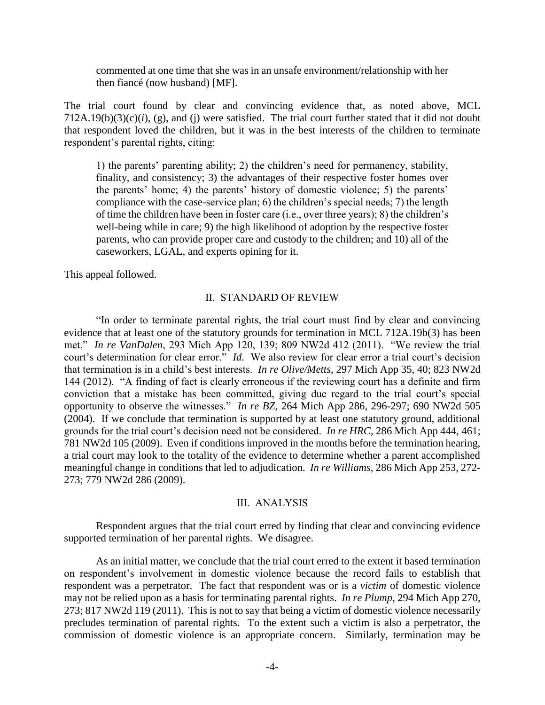commented at one time that she was in an unsafe environment/relationship with her then fiancé (now husband) [MF].

The trial court found by clear and convincing evidence that, as noted above, MCL  $712A.19(b)(3)(c)(i)$ , (g), and (j) were satisfied. The trial court further stated that it did not doubt that respondent loved the children, but it was in the best interests of the children to terminate respondent's parental rights, citing:

1) the parents' parenting ability; 2) the children's need for permanency, stability, finality, and consistency; 3) the advantages of their respective foster homes over the parents' home; 4) the parents' history of domestic violence; 5) the parents' compliance with the case-service plan; 6) the children's special needs; 7) the length of time the children have been in foster care (i.e., over three years); 8) the children's well-being while in care; 9) the high likelihood of adoption by the respective foster parents, who can provide proper care and custody to the children; and 10) all of the caseworkers, LGAL, and experts opining for it.

This appeal followed.

#### II. STANDARD OF REVIEW

"In order to terminate parental rights, the trial court must find by clear and convincing evidence that at least one of the statutory grounds for termination in MCL 712A.19b(3) has been met." *In re VanDalen*, 293 Mich App 120, 139; 809 NW2d 412 (2011). "We review the trial court's determination for clear error." *Id*. We also review for clear error a trial court's decision that termination is in a child's best interests. *In re Olive/Metts*, 297 Mich App 35, 40; 823 NW2d 144 (2012). "A finding of fact is clearly erroneous if the reviewing court has a definite and firm conviction that a mistake has been committed, giving due regard to the trial court's special opportunity to observe the witnesses." *In re BZ*, 264 Mich App 286, 296-297; 690 NW2d 505 (2004). If we conclude that termination is supported by at least one statutory ground, additional grounds for the trial court's decision need not be considered. *In re HRC*, 286 Mich App 444, 461; 781 NW2d 105 (2009). Even if conditions improved in the months before the termination hearing, a trial court may look to the totality of the evidence to determine whether a parent accomplished meaningful change in conditions that led to adjudication. *In re Williams*, 286 Mich App 253, 272- 273; 779 NW2d 286 (2009).

#### III. ANALYSIS

Respondent argues that the trial court erred by finding that clear and convincing evidence supported termination of her parental rights. We disagree.

As an initial matter, we conclude that the trial court erred to the extent it based termination on respondent's involvement in domestic violence because the record fails to establish that respondent was a perpetrator. The fact that respondent was or is a *victim* of domestic violence may not be relied upon as a basis for terminating parental rights. *In re Plump*, 294 Mich App 270, 273; 817 NW2d 119 (2011). This is not to say that being a victim of domestic violence necessarily precludes termination of parental rights. To the extent such a victim is also a perpetrator, the commission of domestic violence is an appropriate concern. Similarly, termination may be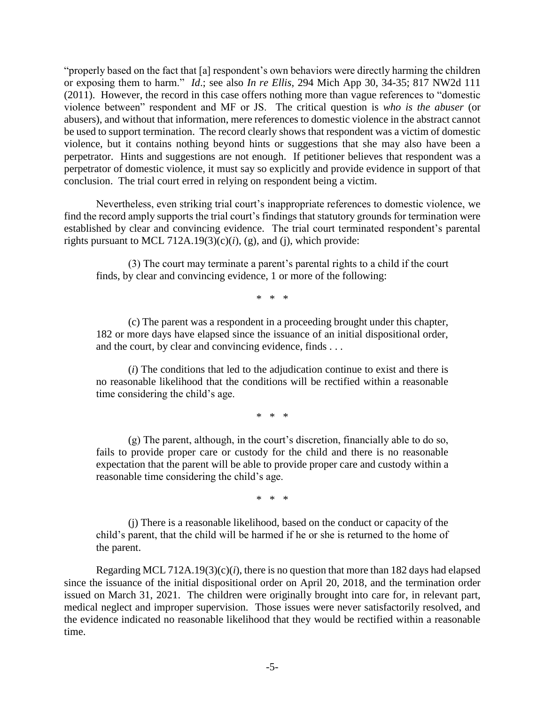"properly based on the fact that [a] respondent's own behaviors were directly harming the children or exposing them to harm." *Id*.; see also *In re Ellis*, 294 Mich App 30, 34-35; 817 NW2d 111 (2011). However, the record in this case offers nothing more than vague references to "domestic violence between" respondent and MF or JS. The critical question is *who is the abuser* (or abusers), and without that information, mere references to domestic violence in the abstract cannot be used to support termination. The record clearly shows that respondent was a victim of domestic violence, but it contains nothing beyond hints or suggestions that she may also have been a perpetrator. Hints and suggestions are not enough. If petitioner believes that respondent was a perpetrator of domestic violence, it must say so explicitly and provide evidence in support of that conclusion. The trial court erred in relying on respondent being a victim.

Nevertheless, even striking trial court's inappropriate references to domestic violence, we find the record amply supports the trial court's findings that statutory grounds for termination were established by clear and convincing evidence. The trial court terminated respondent's parental rights pursuant to MCL 712A.19 $(3)(c)(i)$ ,  $(g)$ , and  $(i)$ , which provide:

(3) The court may terminate a parent's parental rights to a child if the court finds, by clear and convincing evidence, 1 or more of the following:

\* \* \*

(c) The parent was a respondent in a proceeding brought under this chapter, 182 or more days have elapsed since the issuance of an initial dispositional order, and the court, by clear and convincing evidence, finds . . .

(*i*) The conditions that led to the adjudication continue to exist and there is no reasonable likelihood that the conditions will be rectified within a reasonable time considering the child's age.

\* \* \*

(g) The parent, although, in the court's discretion, financially able to do so, fails to provide proper care or custody for the child and there is no reasonable expectation that the parent will be able to provide proper care and custody within a reasonable time considering the child's age.

\* \* \*

(j) There is a reasonable likelihood, based on the conduct or capacity of the child's parent, that the child will be harmed if he or she is returned to the home of the parent.

Regarding MCL 712A.19(3)(c)(*i*), there is no question that more than 182 days had elapsed since the issuance of the initial dispositional order on April 20, 2018, and the termination order issued on March 31, 2021. The children were originally brought into care for, in relevant part, medical neglect and improper supervision. Those issues were never satisfactorily resolved, and the evidence indicated no reasonable likelihood that they would be rectified within a reasonable time.